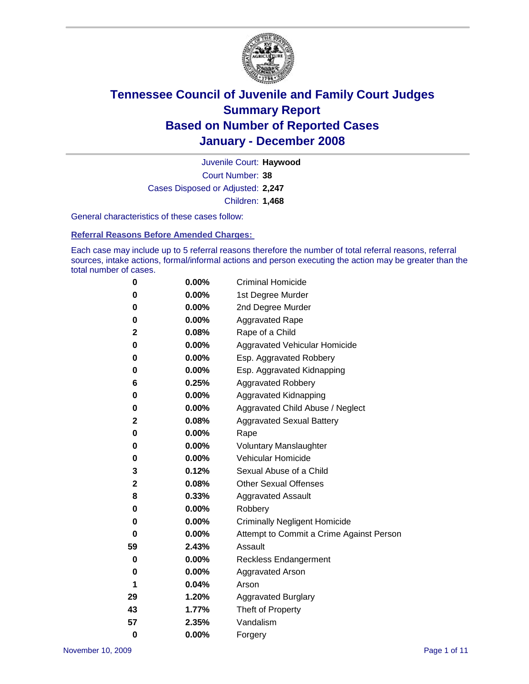

Court Number: **38** Juvenile Court: **Haywood** Cases Disposed or Adjusted: **2,247** Children: **1,468**

General characteristics of these cases follow:

**Referral Reasons Before Amended Charges:** 

Each case may include up to 5 referral reasons therefore the number of total referral reasons, referral sources, intake actions, formal/informal actions and person executing the action may be greater than the total number of cases.

| 0        | 0.00%    | <b>Criminal Homicide</b>                 |
|----------|----------|------------------------------------------|
| 0        | 0.00%    | 1st Degree Murder                        |
| 0        | $0.00\%$ | 2nd Degree Murder                        |
| 0        | 0.00%    | <b>Aggravated Rape</b>                   |
| 2        | 0.08%    | Rape of a Child                          |
| 0        | 0.00%    | Aggravated Vehicular Homicide            |
| 0        | 0.00%    | Esp. Aggravated Robbery                  |
| 0        | 0.00%    | Esp. Aggravated Kidnapping               |
| 6        | 0.25%    | <b>Aggravated Robbery</b>                |
| 0        | $0.00\%$ | Aggravated Kidnapping                    |
| 0        | 0.00%    | Aggravated Child Abuse / Neglect         |
| 2        | 0.08%    | <b>Aggravated Sexual Battery</b>         |
| 0        | 0.00%    | Rape                                     |
| 0        | 0.00%    | <b>Voluntary Manslaughter</b>            |
| 0        | 0.00%    | Vehicular Homicide                       |
| 3        | 0.12%    | Sexual Abuse of a Child                  |
| 2        | 0.08%    | <b>Other Sexual Offenses</b>             |
| 8        | 0.33%    | <b>Aggravated Assault</b>                |
| 0        | $0.00\%$ | Robbery                                  |
| 0        | 0.00%    | <b>Criminally Negligent Homicide</b>     |
| 0        | 0.00%    | Attempt to Commit a Crime Against Person |
| 59       | 2.43%    | Assault                                  |
| 0        | 0.00%    | <b>Reckless Endangerment</b>             |
| 0        | 0.00%    | Aggravated Arson                         |
| 1        | 0.04%    | Arson                                    |
| 29       | 1.20%    | <b>Aggravated Burglary</b>               |
| 43       | 1.77%    | Theft of Property                        |
| 57       | 2.35%    | Vandalism                                |
| $\bf{0}$ | 0.00%    | Forgery                                  |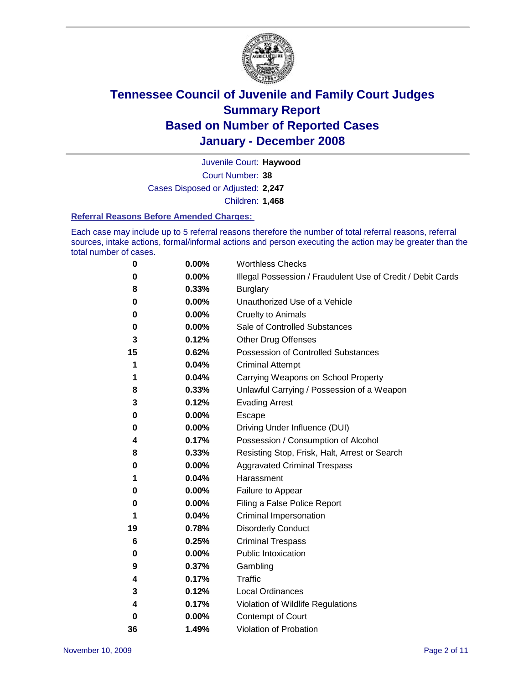

Court Number: **38** Juvenile Court: **Haywood** Cases Disposed or Adjusted: **2,247** Children: **1,468**

#### **Referral Reasons Before Amended Charges:**

Each case may include up to 5 referral reasons therefore the number of total referral reasons, referral sources, intake actions, formal/informal actions and person executing the action may be greater than the total number of cases.

| 0  | 0.00%    | <b>Worthless Checks</b>                                     |
|----|----------|-------------------------------------------------------------|
| 0  | 0.00%    | Illegal Possession / Fraudulent Use of Credit / Debit Cards |
| 8  | 0.33%    | <b>Burglary</b>                                             |
| 0  | $0.00\%$ | Unauthorized Use of a Vehicle                               |
| 0  | 0.00%    | <b>Cruelty to Animals</b>                                   |
| 0  | 0.00%    | Sale of Controlled Substances                               |
| 3  | 0.12%    | <b>Other Drug Offenses</b>                                  |
| 15 | 0.62%    | <b>Possession of Controlled Substances</b>                  |
| 1  | 0.04%    | <b>Criminal Attempt</b>                                     |
| 1  | 0.04%    | Carrying Weapons on School Property                         |
| 8  | 0.33%    | Unlawful Carrying / Possession of a Weapon                  |
| 3  | 0.12%    | <b>Evading Arrest</b>                                       |
| 0  | 0.00%    | Escape                                                      |
| 0  | 0.00%    | Driving Under Influence (DUI)                               |
| 4  | 0.17%    | Possession / Consumption of Alcohol                         |
| 8  | 0.33%    | Resisting Stop, Frisk, Halt, Arrest or Search               |
| 0  | 0.00%    | <b>Aggravated Criminal Trespass</b>                         |
| 1  | 0.04%    | Harassment                                                  |
| 0  | 0.00%    | Failure to Appear                                           |
| 0  | 0.00%    | Filing a False Police Report                                |
| 1  | 0.04%    | Criminal Impersonation                                      |
| 19 | 0.78%    | <b>Disorderly Conduct</b>                                   |
| 6  | 0.25%    | <b>Criminal Trespass</b>                                    |
| 0  | 0.00%    | <b>Public Intoxication</b>                                  |
| 9  | 0.37%    | Gambling                                                    |
| 4  | 0.17%    | <b>Traffic</b>                                              |
| 3  | 0.12%    | Local Ordinances                                            |
| 4  | 0.17%    | Violation of Wildlife Regulations                           |
| 0  | 0.00%    | Contempt of Court                                           |
| 36 | 1.49%    | Violation of Probation                                      |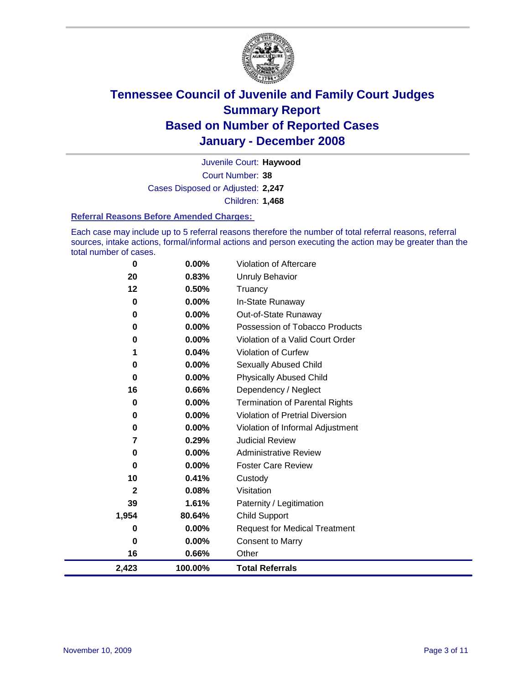

Court Number: **38** Juvenile Court: **Haywood** Cases Disposed or Adjusted: **2,247** Children: **1,468**

#### **Referral Reasons Before Amended Charges:**

Each case may include up to 5 referral reasons therefore the number of total referral reasons, referral sources, intake actions, formal/informal actions and person executing the action may be greater than the total number of cases.

| $\bf{0}$ | 0.00%    | Violation of Aftercare                 |
|----------|----------|----------------------------------------|
| 20       | 0.83%    | Unruly Behavior                        |
| 12       | 0.50%    | Truancy                                |
| 0        | 0.00%    | In-State Runaway                       |
| 0        | 0.00%    | Out-of-State Runaway                   |
| 0        | 0.00%    | Possession of Tobacco Products         |
| 0        | 0.00%    | Violation of a Valid Court Order       |
| 1        | 0.04%    | Violation of Curfew                    |
| 0        | $0.00\%$ | Sexually Abused Child                  |
| 0        | $0.00\%$ | <b>Physically Abused Child</b>         |
| 16       | 0.66%    | Dependency / Neglect                   |
| 0        | 0.00%    | <b>Termination of Parental Rights</b>  |
| 0        | $0.00\%$ | <b>Violation of Pretrial Diversion</b> |
| 0        | $0.00\%$ | Violation of Informal Adjustment       |
| 7        | 0.29%    | <b>Judicial Review</b>                 |
| $\bf{0}$ | 0.00%    | <b>Administrative Review</b>           |
| 0        | $0.00\%$ | <b>Foster Care Review</b>              |
| 10       | 0.41%    | Custody                                |
| 2        | 0.08%    | Visitation                             |
| 39       | 1.61%    | Paternity / Legitimation               |
| 1,954    | 80.64%   | <b>Child Support</b>                   |
| 0        | 0.00%    | <b>Request for Medical Treatment</b>   |
| 0        | 0.00%    | <b>Consent to Marry</b>                |
| 16       | 0.66%    | Other                                  |
| 2,423    | 100.00%  | <b>Total Referrals</b>                 |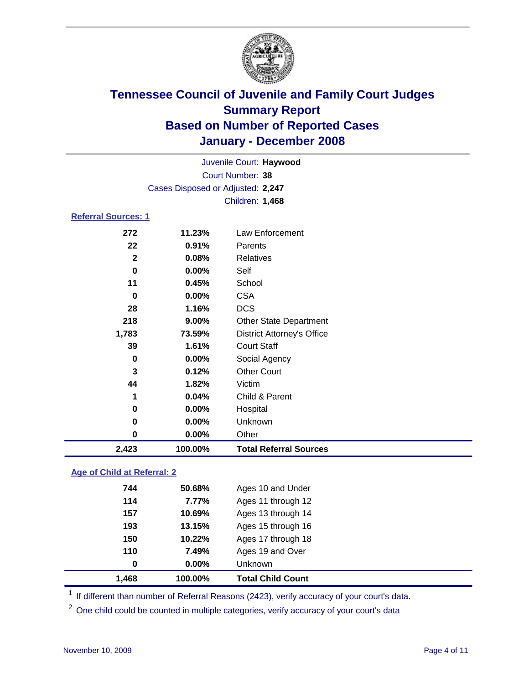

| Juvenile Court: Haywood           |  |
|-----------------------------------|--|
| Court Number: 38                  |  |
| Cases Disposed or Adjusted: 2,247 |  |
| <b>Children: 1,468</b>            |  |
| <b>Referral Sources: 1</b>        |  |

| 2,423        | 100.00%  | <b>Total Referral Sources</b>     |
|--------------|----------|-----------------------------------|
| 0            | 0.00%    | Other                             |
| 0            | 0.00%    | Unknown                           |
| 0            | 0.00%    | Hospital                          |
| 1            | 0.04%    | Child & Parent                    |
| 44           | 1.82%    | Victim                            |
| 3            | 0.12%    | <b>Other Court</b>                |
| 0            | $0.00\%$ | Social Agency                     |
| 39           | 1.61%    | <b>Court Staff</b>                |
| 1,783        | 73.59%   | <b>District Attorney's Office</b> |
| 218          | 9.00%    | <b>Other State Department</b>     |
| 28           | 1.16%    | <b>DCS</b>                        |
| $\bf{0}$     | 0.00%    | <b>CSA</b>                        |
| 11           | 0.45%    | School                            |
| 0            | 0.00%    | Self                              |
| $\mathbf{2}$ | 0.08%    | Relatives                         |
| 22           | 0.91%    | Parents                           |
|              | 11.23%   | Law Enforcement                   |
|              | 272      |                                   |

### **Age of Child at Referral: 2**

| 1,468 | 100.00%  | <b>Total Child Count</b> |
|-------|----------|--------------------------|
| 0     | $0.00\%$ | <b>Unknown</b>           |
| 110   | 7.49%    | Ages 19 and Over         |
| 150   | 10.22%   | Ages 17 through 18       |
| 193   | 13.15%   | Ages 15 through 16       |
| 157   | 10.69%   | Ages 13 through 14       |
| 114   | 7.77%    | Ages 11 through 12       |
| 744   | 50.68%   | Ages 10 and Under        |
|       |          |                          |

<sup>1</sup> If different than number of Referral Reasons (2423), verify accuracy of your court's data.

One child could be counted in multiple categories, verify accuracy of your court's data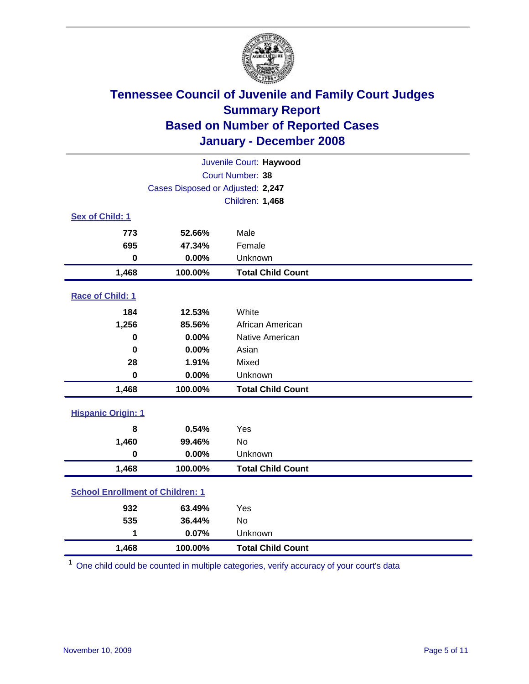

| Juvenile Court: Haywood                 |                                   |                          |  |  |
|-----------------------------------------|-----------------------------------|--------------------------|--|--|
|                                         | Court Number: 38                  |                          |  |  |
|                                         | Cases Disposed or Adjusted: 2,247 |                          |  |  |
|                                         |                                   | Children: 1,468          |  |  |
| Sex of Child: 1                         |                                   |                          |  |  |
| 773                                     | 52.66%                            | Male                     |  |  |
| 695                                     | 47.34%                            | Female                   |  |  |
| $\bf{0}$                                | 0.00%                             | Unknown                  |  |  |
| 1,468                                   | 100.00%                           | <b>Total Child Count</b> |  |  |
| Race of Child: 1                        |                                   |                          |  |  |
| 184                                     | 12.53%                            | White                    |  |  |
| 1,256                                   | 85.56%                            | African American         |  |  |
| $\bf{0}$                                | 0.00%                             | Native American          |  |  |
| $\bf{0}$                                | 0.00%                             | Asian                    |  |  |
| 28                                      | 1.91%                             | Mixed                    |  |  |
| $\bf{0}$                                | 0.00%                             | Unknown                  |  |  |
| 1,468                                   | 100.00%                           | <b>Total Child Count</b> |  |  |
| <b>Hispanic Origin: 1</b>               |                                   |                          |  |  |
| 8                                       | 0.54%                             | Yes                      |  |  |
| 1,460                                   | 99.46%                            | <b>No</b>                |  |  |
| $\mathbf 0$                             | 0.00%                             | Unknown                  |  |  |
| 1,468                                   | 100.00%                           | <b>Total Child Count</b> |  |  |
| <b>School Enrollment of Children: 1</b> |                                   |                          |  |  |
| 932                                     | 63.49%                            | Yes                      |  |  |
| 535                                     | 36.44%                            | <b>No</b>                |  |  |
| 1                                       | 0.07%                             | Unknown                  |  |  |
| 1,468                                   | 100.00%                           | <b>Total Child Count</b> |  |  |

<sup>1</sup> One child could be counted in multiple categories, verify accuracy of your court's data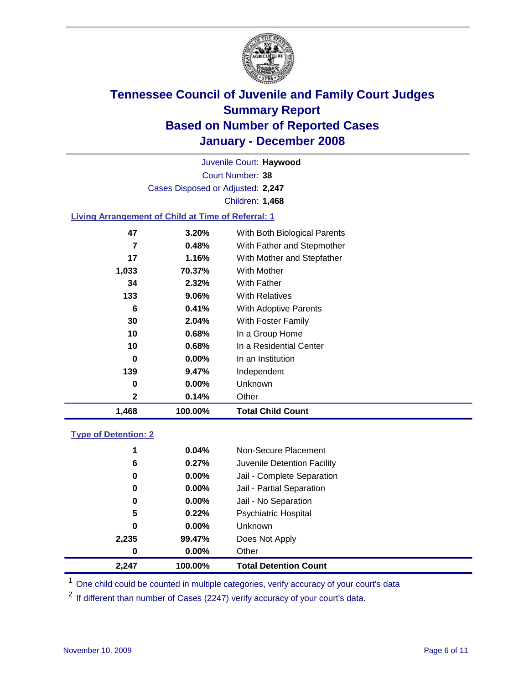

Court Number: **38** Juvenile Court: **Haywood** Cases Disposed or Adjusted: **2,247** Children: **1,468**

### **Living Arrangement of Child at Time of Referral: 1**

| 1,468 | 100.00%  | <b>Total Child Count</b>     |
|-------|----------|------------------------------|
| 2     | 0.14%    | Other                        |
| 0     | $0.00\%$ | Unknown                      |
| 139   | $9.47\%$ | Independent                  |
| 0     | $0.00\%$ | In an Institution            |
| 10    | 0.68%    | In a Residential Center      |
| 10    | 0.68%    | In a Group Home              |
| 30    | 2.04%    | With Foster Family           |
| 6     | 0.41%    | With Adoptive Parents        |
| 133   | 9.06%    | <b>With Relatives</b>        |
| 34    | 2.32%    | With Father                  |
| 1,033 | 70.37%   | With Mother                  |
| 17    | 1.16%    | With Mother and Stepfather   |
| 7     | 0.48%    | With Father and Stepmother   |
| 47    | 3.20%    | With Both Biological Parents |
|       |          |                              |

#### **Type of Detention: 2**

| 2.247 | 100.00%  | <b>Total Detention Count</b> |
|-------|----------|------------------------------|
| 0     | 0.00%    | Other                        |
| 2,235 | 99.47%   | Does Not Apply               |
| 0     | $0.00\%$ | Unknown                      |
| 5     | 0.22%    | <b>Psychiatric Hospital</b>  |
| 0     | 0.00%    | Jail - No Separation         |
| 0     | $0.00\%$ | Jail - Partial Separation    |
| 0     | 0.00%    | Jail - Complete Separation   |
| 6     | 0.27%    | Juvenile Detention Facility  |
| 1     | 0.04%    | Non-Secure Placement         |
|       |          |                              |

<sup>1</sup> One child could be counted in multiple categories, verify accuracy of your court's data

<sup>2</sup> If different than number of Cases (2247) verify accuracy of your court's data.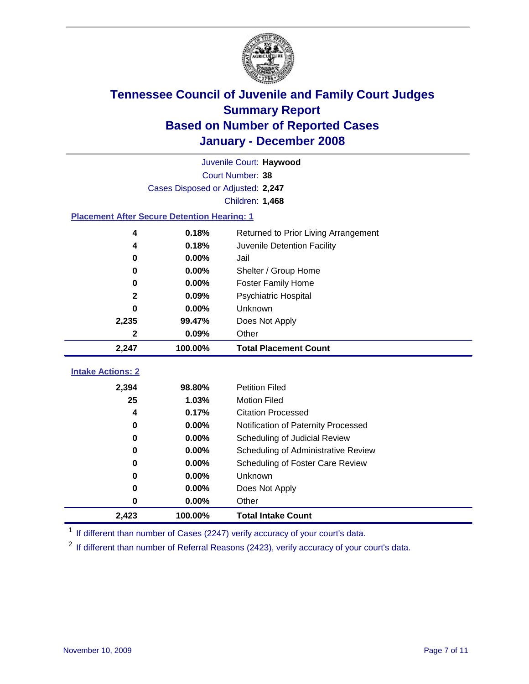

|                                                    | Juvenile Court: Haywood           |                                      |  |  |  |  |
|----------------------------------------------------|-----------------------------------|--------------------------------------|--|--|--|--|
|                                                    | Court Number: 38                  |                                      |  |  |  |  |
|                                                    | Cases Disposed or Adjusted: 2,247 |                                      |  |  |  |  |
|                                                    | Children: 1,468                   |                                      |  |  |  |  |
| <b>Placement After Secure Detention Hearing: 1</b> |                                   |                                      |  |  |  |  |
| 4                                                  | 0.18%                             | Returned to Prior Living Arrangement |  |  |  |  |
| 4                                                  | 0.18%                             | Juvenile Detention Facility          |  |  |  |  |
| $\bf{0}$                                           | 0.00%                             | Jail                                 |  |  |  |  |
| $\bf{0}$                                           | 0.00%                             | Shelter / Group Home                 |  |  |  |  |
| 0                                                  | 0.00%                             | <b>Foster Family Home</b>            |  |  |  |  |
| $\mathbf 2$                                        | 0.09%                             | Psychiatric Hospital                 |  |  |  |  |
| 0                                                  | 0.00%                             | Unknown                              |  |  |  |  |
| 2,235                                              | 99.47%                            | Does Not Apply                       |  |  |  |  |
| 2                                                  | 0.09%                             | Other                                |  |  |  |  |
| 2,247                                              | 100.00%                           | <b>Total Placement Count</b>         |  |  |  |  |
| <b>Intake Actions: 2</b>                           |                                   |                                      |  |  |  |  |
|                                                    |                                   |                                      |  |  |  |  |
| 2,394                                              | 98.80%                            | <b>Petition Filed</b>                |  |  |  |  |
| 25                                                 | 1.03%                             | <b>Motion Filed</b>                  |  |  |  |  |
| 4                                                  | 0.17%                             | <b>Citation Processed</b>            |  |  |  |  |
| 0                                                  | 0.00%                             | Notification of Paternity Processed  |  |  |  |  |
| 0                                                  | 0.00%                             | Scheduling of Judicial Review        |  |  |  |  |
| $\bf{0}$                                           | 0.00%                             | Scheduling of Administrative Review  |  |  |  |  |
| 0                                                  | 0.00%                             | Scheduling of Foster Care Review     |  |  |  |  |
| $\bf{0}$                                           | 0.00%                             | Unknown                              |  |  |  |  |
| $\bf{0}$                                           | 0.00%                             | Does Not Apply                       |  |  |  |  |
| 0                                                  | 0.00%                             | Other                                |  |  |  |  |
| 2,423                                              | 100.00%                           | <b>Total Intake Count</b>            |  |  |  |  |

<sup>1</sup> If different than number of Cases (2247) verify accuracy of your court's data.

<sup>2</sup> If different than number of Referral Reasons (2423), verify accuracy of your court's data.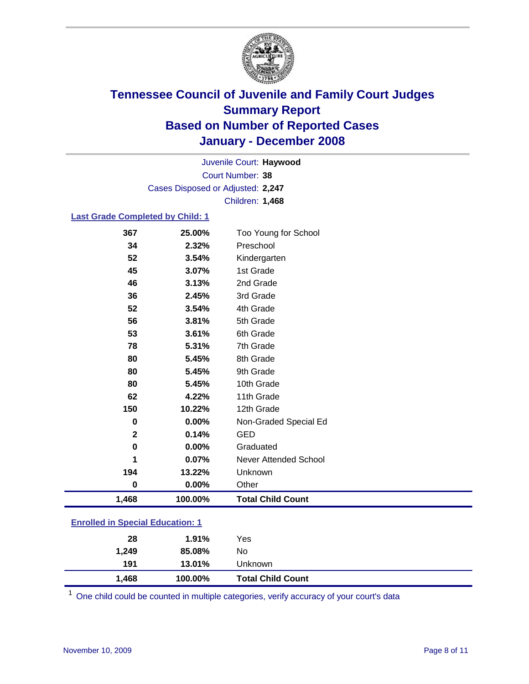

Court Number: **38** Juvenile Court: **Haywood** Cases Disposed or Adjusted: **2,247** Children: **1,468**

#### **Last Grade Completed by Child: 1**

| 367         | 25.00%  | Too Young for School         |
|-------------|---------|------------------------------|
| 34          | 2.32%   | Preschool                    |
| 52          | 3.54%   | Kindergarten                 |
| 45          | 3.07%   | 1st Grade                    |
| 46          | 3.13%   | 2nd Grade                    |
| 36          | 2.45%   | 3rd Grade                    |
| 52          | 3.54%   | 4th Grade                    |
| 56          | 3.81%   | 5th Grade                    |
| 53          | 3.61%   | 6th Grade                    |
| 78          | 5.31%   | 7th Grade                    |
| 80          | 5.45%   | 8th Grade                    |
| 80          | 5.45%   | 9th Grade                    |
| 80          | 5.45%   | 10th Grade                   |
| 62          | 4.22%   | 11th Grade                   |
| 150         | 10.22%  | 12th Grade                   |
| 0           | 0.00%   | Non-Graded Special Ed        |
| $\mathbf 2$ | 0.14%   | <b>GED</b>                   |
| $\bf{0}$    | 0.00%   | Graduated                    |
| 1           | 0.07%   | <b>Never Attended School</b> |
| 194         | 13.22%  | Unknown                      |
| 0           | 0.00%   | Other                        |
| 1,468       | 100.00% | <b>Total Child Count</b>     |

### **Enrolled in Special Education: 1**

<sup>1</sup> One child could be counted in multiple categories, verify accuracy of your court's data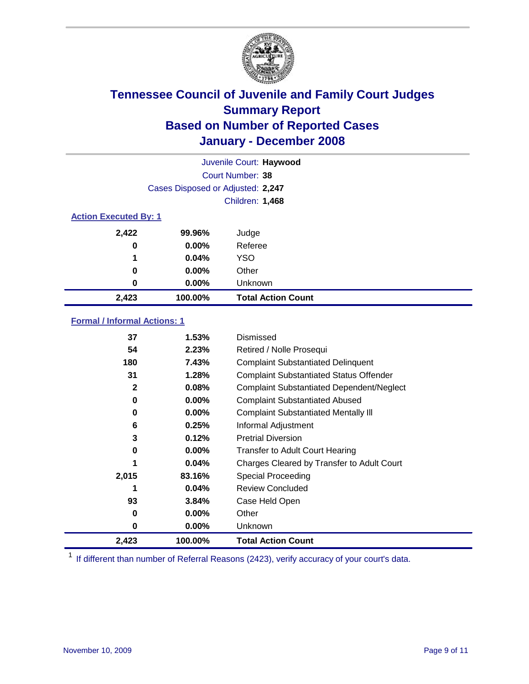

|                              |                                   | Juvenile Court: Haywood   |
|------------------------------|-----------------------------------|---------------------------|
|                              |                                   | Court Number: 38          |
|                              | Cases Disposed or Adjusted: 2,247 |                           |
|                              |                                   | Children: 1,468           |
| <b>Action Executed By: 1</b> |                                   |                           |
| 2,422                        | 99.96%                            | Judge                     |
| 0                            | $0.00\%$                          | Referee                   |
| 1                            | 0.04%                             | <b>YSO</b>                |
| 0                            | $0.00\%$                          | Other                     |
| 0                            | $0.00\%$                          | Unknown                   |
| 2,423                        | 100.00%                           | <b>Total Action Count</b> |

### **Formal / Informal Actions: 1**

| 37           | 1.53%    | Dismissed                                        |
|--------------|----------|--------------------------------------------------|
| 54           | 2.23%    | Retired / Nolle Prosequi                         |
| 180          | 7.43%    | <b>Complaint Substantiated Delinquent</b>        |
| 31           | 1.28%    | <b>Complaint Substantiated Status Offender</b>   |
| $\mathbf{2}$ | 0.08%    | <b>Complaint Substantiated Dependent/Neglect</b> |
| 0            | 0.00%    | <b>Complaint Substantiated Abused</b>            |
| 0            | $0.00\%$ | <b>Complaint Substantiated Mentally III</b>      |
| 6            | 0.25%    | Informal Adjustment                              |
| 3            | 0.12%    | <b>Pretrial Diversion</b>                        |
| 0            | $0.00\%$ | <b>Transfer to Adult Court Hearing</b>           |
|              | 0.04%    | Charges Cleared by Transfer to Adult Court       |
| 2,015        | 83.16%   | Special Proceeding                               |
| 1            | 0.04%    | <b>Review Concluded</b>                          |
| 93           | 3.84%    | Case Held Open                                   |
| 0            | $0.00\%$ | Other                                            |
| 0            | $0.00\%$ | <b>Unknown</b>                                   |
| 2,423        | 100.00%  | <b>Total Action Count</b>                        |

<sup>1</sup> If different than number of Referral Reasons (2423), verify accuracy of your court's data.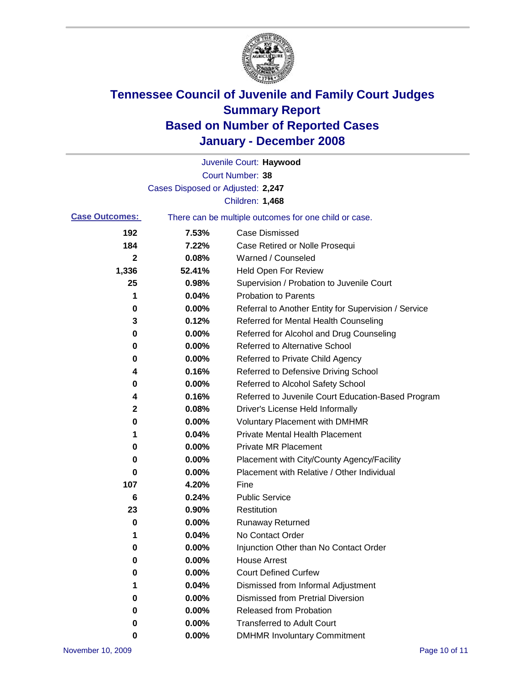

|                       |                                   | Juvenile Court: Haywood                               |
|-----------------------|-----------------------------------|-------------------------------------------------------|
|                       |                                   | Court Number: 38                                      |
|                       | Cases Disposed or Adjusted: 2,247 |                                                       |
|                       |                                   | Children: 1,468                                       |
| <b>Case Outcomes:</b> |                                   | There can be multiple outcomes for one child or case. |
| 192                   | 7.53%                             | <b>Case Dismissed</b>                                 |
| 184                   | 7.22%                             | Case Retired or Nolle Prosequi                        |
| $\mathbf{2}$          | 0.08%                             | Warned / Counseled                                    |
| 1,336                 | 52.41%                            | Held Open For Review                                  |
| 25                    | 0.98%                             | Supervision / Probation to Juvenile Court             |
| 1                     | 0.04%                             | <b>Probation to Parents</b>                           |
| 0                     | 0.00%                             | Referral to Another Entity for Supervision / Service  |
| 3                     | 0.12%                             | Referred for Mental Health Counseling                 |
| 0                     | 0.00%                             | Referred for Alcohol and Drug Counseling              |
| 0                     | 0.00%                             | <b>Referred to Alternative School</b>                 |
| 0                     | 0.00%                             | Referred to Private Child Agency                      |
| 4                     | 0.16%                             | Referred to Defensive Driving School                  |
| 0                     | 0.00%                             | Referred to Alcohol Safety School                     |
| 4                     | 0.16%                             | Referred to Juvenile Court Education-Based Program    |
| 2                     | 0.08%                             | Driver's License Held Informally                      |
| 0                     | 0.00%                             | <b>Voluntary Placement with DMHMR</b>                 |
| 1                     | 0.04%                             | <b>Private Mental Health Placement</b>                |
| 0                     | 0.00%                             | <b>Private MR Placement</b>                           |
| 0                     | 0.00%                             | Placement with City/County Agency/Facility            |
| 0                     | 0.00%                             | Placement with Relative / Other Individual            |
| 107                   | 4.20%                             | Fine                                                  |
| 6                     | 0.24%                             | <b>Public Service</b>                                 |
| 23                    | 0.90%                             | Restitution                                           |
| 0                     | 0.00%                             | <b>Runaway Returned</b>                               |
| 1                     | 0.04%                             | No Contact Order                                      |
| $\mathbf 0$           | 0.00%                             | Injunction Other than No Contact Order                |
| 0                     | 0.00%                             | <b>House Arrest</b>                                   |
| 0                     | 0.00%                             | <b>Court Defined Curfew</b>                           |
| 1                     | 0.04%                             | Dismissed from Informal Adjustment                    |
| 0                     | 0.00%                             | <b>Dismissed from Pretrial Diversion</b>              |
| 0                     | 0.00%                             | Released from Probation                               |
| 0                     | 0.00%                             | <b>Transferred to Adult Court</b>                     |
| 0                     | $0.00\%$                          | <b>DMHMR Involuntary Commitment</b>                   |